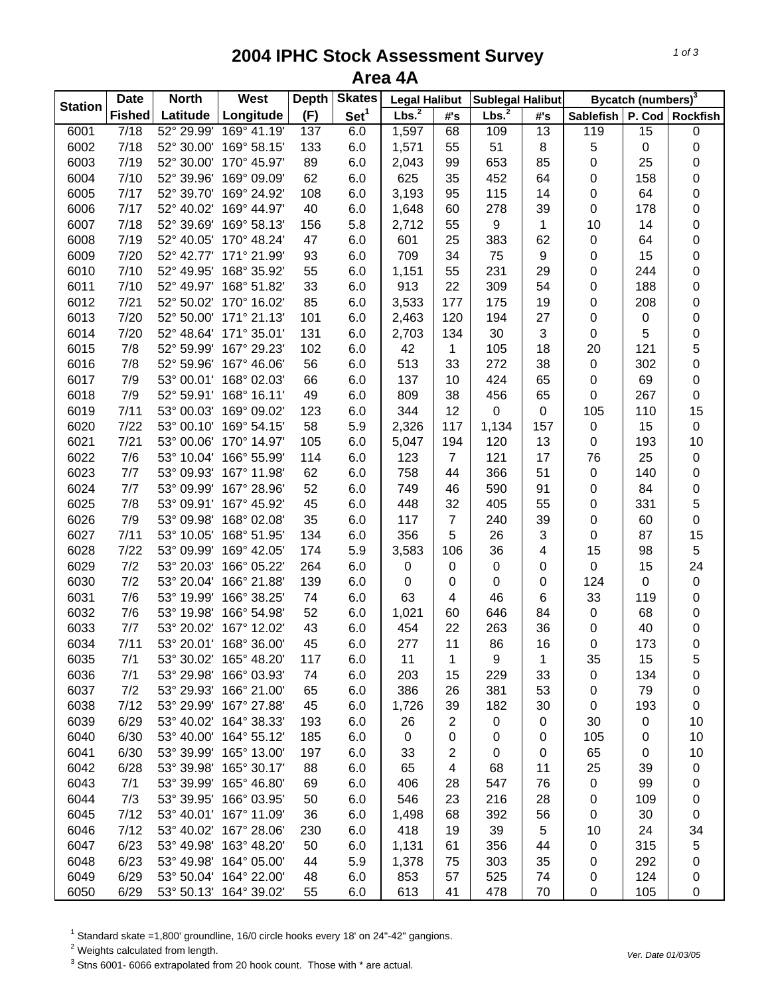## **2004 IPHC Stock Assessment Survey Area 4A**

| <b>Station</b> | <b>Date</b>   | <b>North</b> | West                   | <b>Depth</b> | <b>Skates</b>    | <b>Legal Halibut</b> |                         | Sublegal Halibut  |                  |                  | Bycatch (numbers) <sup>3</sup> |                   |
|----------------|---------------|--------------|------------------------|--------------|------------------|----------------------|-------------------------|-------------------|------------------|------------------|--------------------------------|-------------------|
|                | <b>Fished</b> | Latitude     | Longitude              | (F)          | Set <sup>1</sup> | Lbs. <sup>2</sup>    | #'s                     | Lbs. <sup>2</sup> | #'s              | <b>Sablefish</b> |                                | P. Cod   Rockfish |
| 6001           | 7/18          | 52° 29.99'   | 169° 41.19'            | 137          | 6.0              | 1,597                | 68                      | 109               | 13               | 119              | 15                             | 0                 |
| 6002           | 7/18          | 52° 30.00'   | 169° 58.15'            | 133          | 6.0              | 1,571                | 55                      | 51                | 8                | 5                | $\pmb{0}$                      | $\mathbf 0$       |
| 6003           | 7/19          | 52° 30.00'   | 170° 45.97'            | 89           | 6.0              | 2,043                | 99                      | 653               | 85               | 0                | 25                             | $\pmb{0}$         |
| 6004           | 7/10          | 52° 39.96'   | 169° 09.09'            | 62           | 6.0              | 625                  | 35                      | 452               | 64               | 0                | 158                            | $\mathbf 0$       |
| 6005           | 7/17          | 52° 39.70'   | 169° 24.92'            | 108          | 6.0              | 3,193                | 95                      | 115               | 14               | 0                | 64                             | $\mathbf 0$       |
| 6006           | 7/17          | 52° 40.02'   | 169° 44.97'            | 40           | 6.0              | 1,648                | 60                      | 278               | 39               | 0                | 178                            | $\mathbf 0$       |
| 6007           | 7/18          | 52° 39.69'   | 169° 58.13'            | 156          | 5.8              | 2,712                | 55                      | $\boldsymbol{9}$  | $\mathbf 1$      | 10               | 14                             | $\mathbf 0$       |
| 6008           | 7/19          | 52° 40.05'   | 170° 48.24'            | 47           | 6.0              | 601                  | 25                      | 383               | 62               | $\pmb{0}$        | 64                             | $\mathbf 0$       |
| 6009           | 7/20          | 52° 42.77'   | 171° 21.99'            | 93           | 6.0              | 709                  | 34                      | 75                | 9                | 0                | 15                             | $\mathbf 0$       |
| 6010           | 7/10          | 52° 49.95'   | 168° 35.92'            | 55           | 6.0              | 1,151                | 55                      | 231               | 29               | 0                | 244                            | $\mathbf 0$       |
| 6011           | 7/10          | 52° 49.97'   | 168° 51.82'            | 33           | 6.0              | 913                  | 22                      | 309               | 54               | 0                | 188                            | $\mathbf 0$       |
| 6012           | $7/21$        | 52° 50.02'   | 170° 16.02'            | 85           | 6.0              | 3,533                | 177                     | 175               | 19               | 0                | 208                            | $\pmb{0}$         |
| 6013           | 7/20          | 52° 50.00'   | 171° 21.13'            | 101          | 6.0              | 2,463                | 120                     | 194               | 27               | 0                | 0                              | $\mathbf 0$       |
| 6014           | 7/20          | 52° 48.64'   | 171° 35.01'            | 131          | 6.0              | 2,703                | 134                     | 30                | 3                | 0                | 5                              | $\mathbf{0}$      |
| 6015           | 7/8           | 52° 59.99'   | 167° 29.23'            | 102          | 6.0              | 42                   | 1                       | 105               | 18               | 20               | 121                            | 5                 |
| 6016           | 7/8           | 52° 59.96'   | 167° 46.06'            | 56           | 6.0              | 513                  | 33                      | 272               | 38               | $\pmb{0}$        | 302                            | $\mathbf 0$       |
| 6017           | 7/9           | 53° 00.01'   | 168° 02.03'            | 66           | 6.0              | 137                  | 10                      | 424               | 65               | 0                | 69                             | $\pmb{0}$         |
| 6018           | 7/9           | 52° 59.91'   | 168° 16.11'            | 49           | 6.0              | 809                  | 38                      | 456               | 65               | $\pmb{0}$        | 267                            | $\mathbf 0$       |
| 6019           | 7/11          | 53° 00.03'   | 169° 09.02'            | 123          | 6.0              | 344                  | 12                      | $\mathbf 0$       | $\boldsymbol{0}$ | 105              | 110                            | 15                |
| 6020           | 7/22          | 53° 00.10'   | 169° 54.15'            | 58           | 5.9              | 2,326                | 117                     | 1,134             | 157              | $\pmb{0}$        | 15                             | $\pmb{0}$         |
| 6021           | $7/21$        | 53° 00.06'   | 170° 14.97'            | 105          | 6.0              | 5,047                | 194                     | 120               | 13               | $\pmb{0}$        | 193                            | 10                |
| 6022           | 7/6           | 53° 10.04'   | 166° 55.99'            | 114          | 6.0              | 123                  | $\overline{7}$          | 121               | 17               | 76               | 25                             | $\pmb{0}$         |
| 6023           | 7/7           | 53° 09.93'   | 167° 11.98'            | 62           | 6.0              | 758                  | 44                      | 366               | 51               | $\mathbf 0$      | 140                            | $\pmb{0}$         |
| 6024           | 7/7           | 53° 09.99'   | 167° 28.96'            | 52           | 6.0              | 749                  | 46                      | 590               | 91               | 0                | 84                             | $\mathbf 0$       |
| 6025           | 7/8           | 53° 09.91'   | 167° 45.92'            | 45           | 6.0              | 448                  | 32                      | 405               | 55               | $\pmb{0}$        | 331                            | 5                 |
| 6026           | 7/9           | 53° 09.98'   | 168° 02.08'            | 35           | 6.0              | 117                  | $\boldsymbol{7}$        | 240               | 39               | $\mathbf 0$      | 60                             | $\mathbf 0$       |
| 6027           | 7/11          | 53° 10.05'   | 168° 51.95'            | 134          | 6.0              | 356                  | 5                       | 26                | 3                | 0                | 87                             | 15                |
| 6028           | 7/22          | 53° 09.99'   | 169° 42.05'            | 174          | 5.9              | 3,583                | 106                     | 36                | 4                | 15               | 98                             | $\sqrt{5}$        |
| 6029           | 7/2           | 53° 20.03'   | 166° 05.22'            | 264          | 6.0              | $\pmb{0}$            | $\pmb{0}$               | $\pmb{0}$         | 0                | 0                | 15                             | 24                |
| 6030           | 7/2           | 53° 20.04'   | 166° 21.88'            | 139          | 6.0              | $\pmb{0}$            | $\pmb{0}$               | $\pmb{0}$         | 0                | 124              | 0                              | $\pmb{0}$         |
| 6031           | 7/6           | 53° 19.99'   | 166° 38.25'            | 74           | 6.0              | 63                   | 4                       | 46                | 6                | 33               | 119                            | $\mathbf 0$       |
| 6032           | 7/6           | 53° 19.98'   | 166° 54.98'            | 52           | 6.0              | 1,021                | 60                      | 646               | 84               | $\pmb{0}$        | 68                             | $\pmb{0}$         |
| 6033           | 7/7           | 53° 20.02'   | 167° 12.02'            | 43           | 6.0              | 454                  | 22                      | 263               | 36               | 0                | 40                             | $\mathbf 0$       |
| 6034           | 7/11          | 53° 20.01'   | 168° 36.00'            | 45           | 6.0              | 277                  | 11                      | 86                | 16               | $\mathbf 0$      | 173                            | $\mathbf 0$       |
| 6035           | 7/1           |              | 53° 30.02' 165° 48.20' | 117          | 6.0              | 11                   | 1                       | 9                 | 1                | 35               | 15                             | 5                 |
| 6036           | 7/1           | 53° 29.98'   | 166° 03.93'            | 74           | 6.0              | 203                  | 15                      | 229               | 33               | 0                | 134                            | 0                 |
| 6037           | 7/2           | 53° 29.93'   | 166° 21.00'            | 65           | 6.0              | 386                  | 26                      | 381               | 53               | 0                | 79                             | $\pmb{0}$         |
| 6038           | 7/12          | 53° 29.99'   | 167° 27.88'            | 45           | 6.0              | 1,726                | 39                      | 182               | 30               | 0                | 193                            | $\boldsymbol{0}$  |
| 6039           | 6/29          | 53° 40.02'   | 164° 38.33'            | 193          | 6.0              | 26                   | $\overline{\mathbf{c}}$ | $\pmb{0}$         | 0                | 30               | $\pmb{0}$                      | 10                |
| 6040           | 6/30          | 53° 40.00'   | 164° 55.12'            | 185          | 6.0              | $\mathbf 0$          | 0                       | 0                 | 0                | 105              | 0                              | 10                |
| 6041           | 6/30          | 53° 39.99'   | 165° 13.00'            | 197          | 6.0              | 33                   | 2                       | 0                 | 0                | 65               | 0                              | 10                |
| 6042           | 6/28          | 53° 39.98'   | 165° 30.17'            | 88           | 6.0              | 65                   | 4                       | 68                | 11               | 25               | 39                             | $\pmb{0}$         |
| 6043           | 7/1           | 53° 39.99'   | 165° 46.80'            | 69           | 6.0              | 406                  | 28                      | 547               | 76               | 0                | 99                             | 0                 |
| 6044           | 7/3           | 53° 39.95'   | 166° 03.95'            | 50           | 6.0              | 546                  | 23                      | 216               | 28               | 0                | 109                            | $\pmb{0}$         |
| 6045           | 7/12          | 53° 40.01'   | 167° 11.09'            | 36           | 6.0              | 1,498                | 68                      | 392               | 56               | 0                | 30                             | $\pmb{0}$         |
| 6046           | 7/12          | 53° 40.02'   | 167° 28.06'            | 230          | 6.0              | 418                  | 19                      | 39                | 5                | 10               | 24                             | 34                |
| 6047           | 6/23          | 53° 49.98'   | 163° 48.20'            | 50           | 6.0              | 1,131                | 61                      | 356               | 44               | 0                | 315                            | 5                 |
| 6048           | 6/23          | 53° 49.98'   | 164° 05.00'            | 44           | 5.9              | 1,378                | 75                      | 303               | 35               | 0                | 292                            | 0                 |
| 6049           | 6/29          | 53° 50.04'   | 164° 22.00'            | 48           | 6.0              | 853                  | 57                      | 525               | 74               | 0                | 124                            | $\pmb{0}$         |
| 6050           | 6/29          | 53° 50.13'   | 164° 39.02'            | 55           | 6.0              | 613                  | 41                      | 478               | 70               | 0                | 105                            | $\boldsymbol{0}$  |

<sup>1</sup> Standard skate =1,800' groundline, 16/0 circle hooks every 18' on 24"-42" gangions.<br><sup>2</sup> Weights calculated from length.<br><sup>3</sup> Stns 6001- 6066 extrapolated from 20 hook count. Those with \* are actual.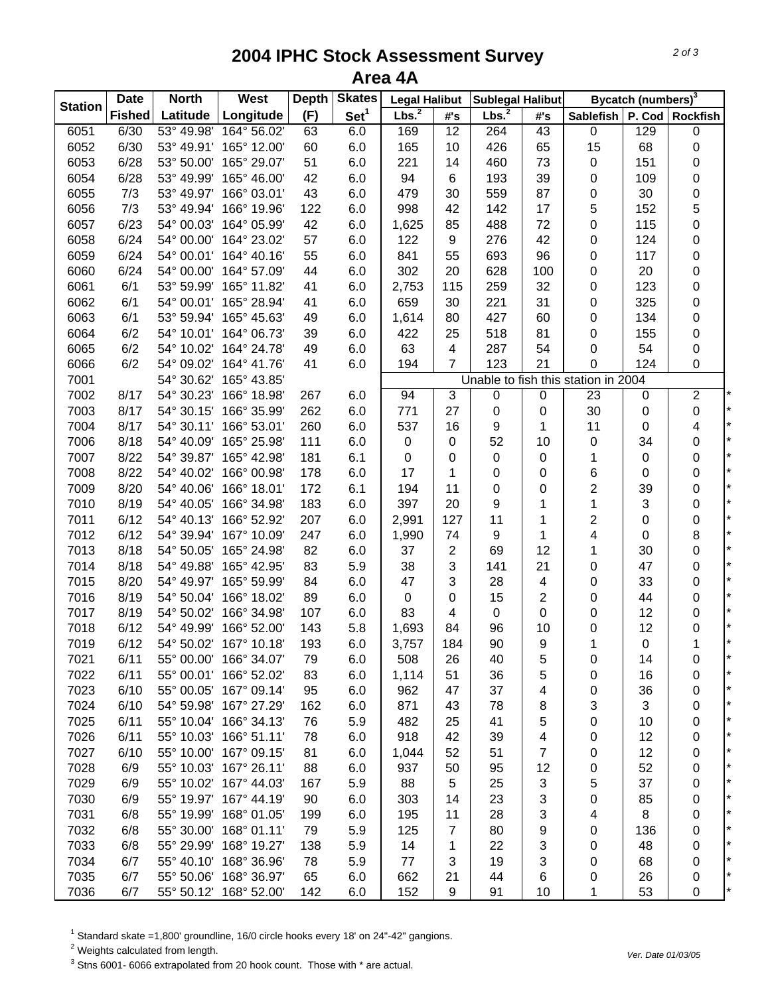## **2004 IPHC Stock Assessment Survey Area 4A**

|                | <b>Date</b>   | <b>North</b> | West                   | <b>Depth</b> | <b>Skates</b>    | <b>Legal Halibut</b> |                         | Sublegal Halibut  |                  |                                     | Bycatch (numbers) <sup>3</sup> |                         |
|----------------|---------------|--------------|------------------------|--------------|------------------|----------------------|-------------------------|-------------------|------------------|-------------------------------------|--------------------------------|-------------------------|
| <b>Station</b> | <b>Fished</b> | Latitude     | Longitude              | (F)          | Set <sup>1</sup> | Lbs. <sup>2</sup>    | #'s                     | Lbs. <sup>2</sup> | #'s              | Sablefish                           |                                | P. Cod Rockfish         |
| 6051           | 6/30          | 53° 49.98'   | 164° 56.02'            | 63           | 6.0              | 169                  | 12                      | 264               | 43               | $\pmb{0}$                           | 129                            | $\pmb{0}$               |
| 6052           | 6/30          | 53° 49.91'   | 165° 12.00'            | 60           | 6.0              | 165                  | 10                      | 426               | 65               | 15                                  | 68                             | $\pmb{0}$               |
| 6053           | 6/28          | 53° 50.00'   | 165° 29.07'            | 51           | 6.0              | 221                  | 14                      | 460               | 73               | $\pmb{0}$                           | 151                            | $\pmb{0}$               |
| 6054           | 6/28          | 53° 49.99'   | 165° 46.00'            | 42           | 6.0              | 94                   | 6                       | 193               | 39               | 0                                   | 109                            | $\pmb{0}$               |
| 6055           | 7/3           | 53° 49.97'   | 166° 03.01'            | 43           | 6.0              | 479                  | 30                      | 559               | 87               | 0                                   | 30                             | $\pmb{0}$               |
| 6056           | 7/3           | 53° 49.94'   | 166° 19.96'            | 122          | 6.0              | 998                  | 42                      | 142               | 17               | 5                                   | 152                            | 5                       |
| 6057           | 6/23          | 54° 00.03'   | 164° 05.99'            | 42           | 6.0              | 1,625                | 85                      | 488               | 72               | 0                                   | 115                            | $\mathbf 0$             |
| 6058           | 6/24          | 54° 00.00'   | 164° 23.02'            | 57           | 6.0              | 122                  | 9                       | 276               | 42               | 0                                   | 124                            | $\pmb{0}$               |
| 6059           | 6/24          | 54° 00.01'   | 164° 40.16'            | 55           | 6.0              | 841                  | 55                      | 693               | 96               | 0                                   | 117                            | $\pmb{0}$               |
| 6060           | 6/24          | 54° 00.00'   | 164° 57.09'            | 44           | 6.0              | 302                  | 20                      | 628               | 100              | 0                                   | 20                             | 0                       |
| 6061           | 6/1           | 53° 59.99'   | 165° 11.82'            | 41           | 6.0              | 2,753                | 115                     | 259               | 32               | 0                                   | 123                            | $\pmb{0}$               |
| 6062           | 6/1           |              | 54° 00.01' 165° 28.94' | 41           | 6.0              | 659                  | 30                      | 221               | 31               | 0                                   | 325                            | $\pmb{0}$               |
| 6063           | 6/1           | 53° 59.94'   | 165° 45.63'            | 49           | 6.0              | 1,614                | 80                      | 427               | 60               | 0                                   | 134                            | $\pmb{0}$               |
| 6064           | 6/2           | 54° 10.01'   | 164° 06.73'            | 39           | 6.0              | 422                  | 25                      | 518               | 81               | 0                                   | 155                            | $\pmb{0}$               |
| 6065           | 6/2           | 54° 10.02'   | 164° 24.78'            | 49           | 6.0              | 63                   | 4                       | 287               | 54               | 0                                   | 54                             | $\pmb{0}$               |
| 6066           | 6/2           | 54° 09.02'   | 164° 41.76'            | 41           | 6.0              | 194                  | $\overline{7}$          | 123               | 21               | 0                                   | 124                            | $\pmb{0}$               |
| 7001           |               | 54° 30.62'   | 165° 43.85'            |              |                  |                      |                         |                   |                  | Unable to fish this station in 2004 |                                |                         |
| 7002           | 8/17          | 54° 30.23'   | 166° 18.98'            | 267          | 6.0              | 94                   | 3                       | $\pmb{0}$         | 0                | 23                                  | 0                              | $\overline{c}$          |
| 7003           | 8/17          | 54° 30.15'   | 166° 35.99'            | 262          | 6.0              | 771                  | 27                      | $\boldsymbol{0}$  | 0                | 30                                  | $\pmb{0}$                      | $\pmb{0}$               |
| 7004           | 8/17          | 54° 30.11'   | 166° 53.01'            | 260          | 6.0              | 537                  | 16                      | 9                 | 1                | 11                                  | $\boldsymbol{0}$               | $\overline{\mathbf{4}}$ |
| 7006           | 8/18          | 54° 40.09'   | 165° 25.98'            | 111          | 6.0              | $\,0\,$              | 0                       | 52                | 10               | $\pmb{0}$                           | 34                             | $\pmb{0}$               |
| 7007           | 8/22          | 54° 39.87'   | 165° 42.98'            | 181          | 6.1              | $\pmb{0}$            | 0                       | $\pmb{0}$         | $\,0\,$          | 1                                   | $\pmb{0}$                      | $\mathbf 0$             |
| 7008           | 8/22          | 54° 40.02'   | 166° 00.98'            | 178          | 6.0              | 17                   | 1                       | 0                 | 0                | 6                                   | $\boldsymbol{0}$               | $\mathbf 0$             |
| 7009           | 8/20          | 54° 40.06'   | 166° 18.01'            | 172          | 6.1              | 194                  | 11                      | 0                 | 0                | $\overline{\mathbf{c}}$             | 39                             | $\pmb{0}$               |
| 7010           | 8/19          | 54° 40.05'   | 166° 34.98'            | 183          | 6.0              | 397                  | 20                      | 9                 | 1                | 1                                   | $\ensuremath{\mathsf{3}}$      | $\pmb{0}$               |
| 7011           | 6/12          | 54° 40.13'   | 166° 52.92'            | 207          | 6.0              | 2,991                | 127                     | 11                | 1                | 2                                   | $\boldsymbol{0}$               | $\pmb{0}$               |
| 7012           | 6/12          | 54° 39.94'   | 167° 10.09'            | 247          | 6.0              | 1,990                | 74                      | 9                 | 1                | 4                                   | $\boldsymbol{0}$               | $\bf 8$                 |
| 7013           | 8/18          | 54° 50.05'   | 165° 24.98'            | 82           | 6.0              | 37                   | $\overline{\mathbf{c}}$ | 69                | 12               | 1                                   | 30                             | $\pmb{0}$               |
| 7014           | 8/18          | 54° 49.88'   | 165° 42.95'            | 83           | 5.9              | 38                   | 3                       | 141               | 21               | 0                                   | 47                             | $\pmb{0}$               |
| 7015           | 8/20          | 54° 49.97'   | 165° 59.99'            | 84           | 6.0              | 47                   | 3                       | 28                | 4                | 0                                   | 33                             | $\mathbf 0$             |
| 7016           | 8/19          | 54° 50.04'   | 166° 18.02'            | 89           | 6.0              | $\pmb{0}$            | 0                       | 15                | 2                | 0                                   | 44                             | $\mathbf 0$             |
| 7017           | 8/19          | 54° 50.02'   | 166° 34.98'            | 107          | 6.0              | 83                   | 4                       | $\mathsf 0$       | $\,0\,$          | 0                                   | 12                             | $\pmb{0}$               |
| 7018           | 6/12          | 54° 49.99'   | 166° 52.00'            | 143          | 5.8              | 1,693                | 84                      | 96                | 10               | 0                                   | 12                             | $\pmb{0}$               |
| 7019           | 6/12          | 54° 50.02'   | 167° 10.18'            | 193          | 6.0              | 3,757                | 184                     | 90                | $\boldsymbol{9}$ | $\mathbf{1}$                        | $\boldsymbol{0}$               | $\mathbf{1}$            |
| 7021           | 6/11          | 55° 00.00'   | 166° 34.07'            | 79           | 6.0              | 508                  | 26                      | 40                | 5                | 0                                   | 14                             | 0                       |
| 7022           | 6/11          | 55° 00.01'   | 166° 52.02'            | 83           | 6.0              | 1,114                | 51                      | 36                | 5                | 0                                   | 16                             | 0                       |
| 7023           | 6/10          | 55° 00.05'   | 167° 09.14'            | 95           | 6.0              | 962                  | 47                      | 37                | 4                | 0                                   | 36                             | 0                       |
| 7024           | 6/10          | 54° 59.98'   | 167° 27.29'            | 162          | 6.0              | 871                  | 43                      | 78                | 8                | 3                                   | 3                              | 0                       |
| 7025           | 6/11          | 55° 10.04'   | 166° 34.13'            | 76           | 5.9              | 482                  | 25                      | 41                | 5                | 0                                   | 10                             | 0                       |
| 7026           | 6/11          |              | 55° 10.03' 166° 51.11' | 78           | 6.0              | 918                  | 42                      | 39                | 4                | 0                                   | 12                             | 0                       |
| 7027           | 6/10          |              | 55° 10.00' 167° 09.15' | 81           | 6.0              | 1,044                | 52                      | 51                | 7                | 0                                   | 12                             | 0                       |
| 7028           | 6/9           |              | 55° 10.03' 167° 26.11' | 88           | 6.0              | 937                  | 50                      | 95                | 12               | 0                                   | 52                             | 0                       |
| 7029           | 6/9           |              | 55° 10.02' 167° 44.03' | 167          | 5.9              | 88                   | 5                       | 25                | 3                | 5                                   | 37                             | 0                       |
| 7030           | 6/9           |              | 55° 19.97' 167° 44.19' | 90           | 6.0              | 303                  | 14                      | 23                | 3                | 0                                   | 85                             | 0                       |
| 7031           | 6/8           |              | 55° 19.99' 168° 01.05' | 199          | 6.0              | 195                  | 11                      | 28                | 3                | 4                                   | $\bf 8$                        | $\pmb{0}$               |
| 7032           | 6/8           |              | 55° 30.00' 168° 01.11' | 79           | 5.9              | 125                  | 7                       | 80                | 9                | 0                                   | 136                            | $\pmb{0}$               |
| 7033           | 6/8           |              | 55° 29.99' 168° 19.27' | 138          | 5.9              | 14                   | 1                       | 22                | 3                | 0                                   | 48                             | $\pmb{0}$               |
| 7034           | 6/7           |              | 55° 40.10' 168° 36.96' | 78           | 5.9              | 77                   | 3                       | 19                | 3                | 0                                   | 68                             | $\pmb{0}$               |
| 7035           | 6/7           |              | 55° 50.06' 168° 36.97' | 65           | 6.0              | 662                  | 21                      | 44                | 6                | 0                                   | 26                             | 0                       |
| 7036           | 6/7           | 55° 50.12'   | 168° 52.00'            | 142          | 6.0              | 152                  | 9                       | 91                | 10               | 1                                   | 53                             | $\mathbf 0$             |

<sup>1</sup> Standard skate =1,800' groundline, 16/0 circle hooks every 18' on 24"-42" gangions.

<sup>2</sup> Weights calculated from length.

 $3$  Stns 6001- 6066 extrapolated from 20 hook count. Those with  $*$  are actual.